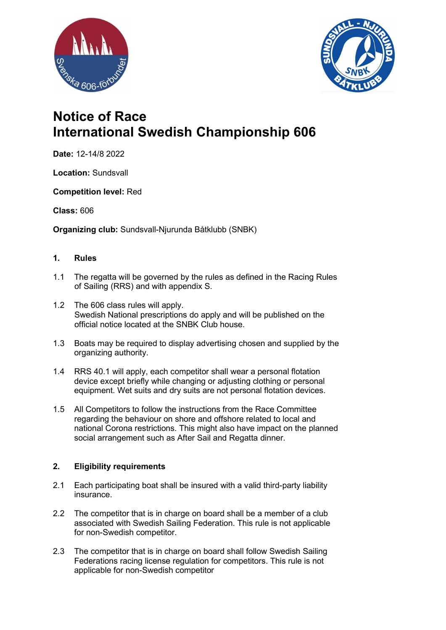



# Notice of Race International Swedish Championship 606

Date: 12-14/8 2022

Location: Sundsvall

Competition level: Red

## Class: 606

Organizing club: Sundsvall-Njurunda Båtklubb (SNBK)

## 1. Rules

- 1.1 The regatta will be governed by the rules as defined in the Racing Rules of Sailing (RRS) and with appendix S.
- 1.2 The 606 class rules will apply. Swedish National prescriptions do apply and will be published on the official notice located at the SNBK Club house.
- 1.3 Boats may be required to display advertising chosen and supplied by the organizing authority.
- 1.4 RRS 40.1 will apply, each competitor shall wear a personal flotation device except briefly while changing or adjusting clothing or personal equipment. Wet suits and dry suits are not personal flotation devices.
- 1.5 All Competitors to follow the instructions from the Race Committee regarding the behaviour on shore and offshore related to local and national Corona restrictions. This might also have impact on the planned social arrangement such as After Sail and Regatta dinner.

## 2. Eligibility requirements

- 2.1 Each participating boat shall be insured with a valid third-party liability insurance.
- 2.2 The competitor that is in charge on board shall be a member of a club associated with Swedish Sailing Federation. This rule is not applicable for non-Swedish competitor.
- 2.3 The competitor that is in charge on board shall follow Swedish Sailing Federations racing license regulation for competitors. This rule is not applicable for non-Swedish competitor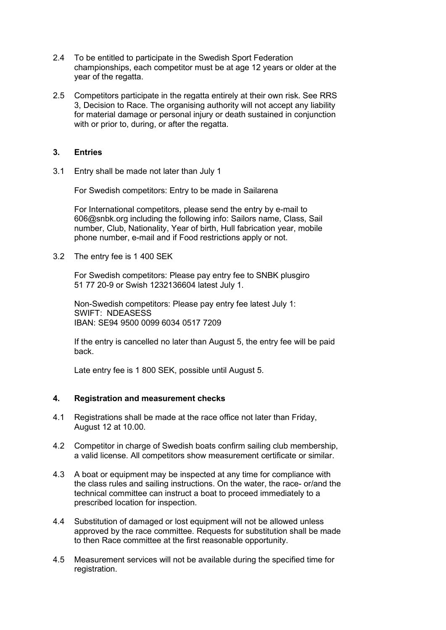- 2.4 To be entitled to participate in the Swedish Sport Federation championships, each competitor must be at age 12 years or older at the year of the regatta.
- 2.5 Competitors participate in the regatta entirely at their own risk. See RRS 3, Decision to Race. The organising authority will not accept any liability for material damage or personal injury or death sustained in conjunction with or prior to, during, or after the regatta.

## 3. Entries

3.1 Entry shall be made not later than July 1

For Swedish competitors: Entry to be made in Sailarena

For International competitors, please send the entry by e-mail to 606@snbk.org including the following info: Sailors name, Class, Sail number, Club, Nationality, Year of birth, Hull fabrication year, mobile phone number, e-mail and if Food restrictions apply or not.

3.2 The entry fee is 1 400 SEK

For Swedish competitors: Please pay entry fee to SNBK plusgiro 51 77 20-9 or Swish 1232136604 latest July 1.

Non-Swedish competitors: Please pay entry fee latest July 1: SWIFT: NDEASESS IBAN: SE94 9500 0099 6034 0517 7209

If the entry is cancelled no later than August 5, the entry fee will be paid back.

Late entry fee is 1 800 SEK, possible until August 5.

#### 4. Registration and measurement checks

- 4.1 Registrations shall be made at the race office not later than Friday, August 12 at 10.00.
- 4.2 Competitor in charge of Swedish boats confirm sailing club membership, a valid license. All competitors show measurement certificate or similar.
- 4.3 A boat or equipment may be inspected at any time for compliance with the class rules and sailing instructions. On the water, the race- or/and the technical committee can instruct a boat to proceed immediately to a prescribed location for inspection.
- 4.4 Substitution of damaged or lost equipment will not be allowed unless approved by the race committee. Requests for substitution shall be made to then Race committee at the first reasonable opportunity.
- 4.5 Measurement services will not be available during the specified time for registration.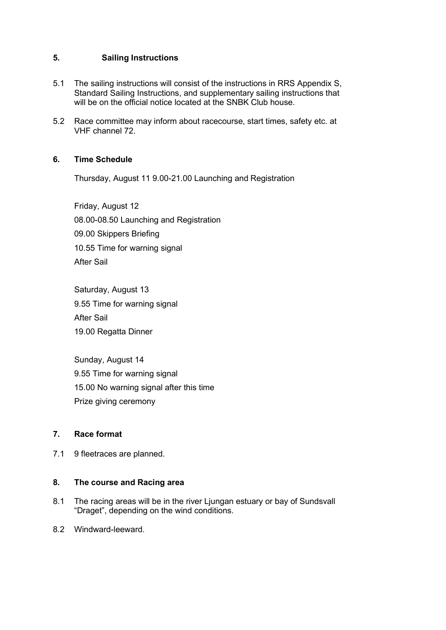## 5. Sailing Instructions

- 5.1 The sailing instructions will consist of the instructions in RRS Appendix S, Standard Sailing Instructions, and supplementary sailing instructions that will be on the official notice located at the SNBK Club house.
- 5.2 Race committee may inform about racecourse, start times, safety etc. at VHF channel 72.

## 6. Time Schedule

Thursday, August 11 9.00-21.00 Launching and Registration

Friday, August 12 08.00-08.50 Launching and Registration 09.00 Skippers Briefing 10.55 Time for warning signal After Sail

Saturday, August 13 9.55 Time for warning signal After Sail 19.00 Regatta Dinner

Sunday, August 14 9.55 Time for warning signal 15.00 No warning signal after this time Prize giving ceremony

#### 7. Race format

7.1 9 fleetraces are planned.

#### 8. The course and Racing area

- 8.1 The racing areas will be in the river Ljungan estuary or bay of Sundsvall "Draget", depending on the wind conditions.
- 8.2 Windward-leeward.